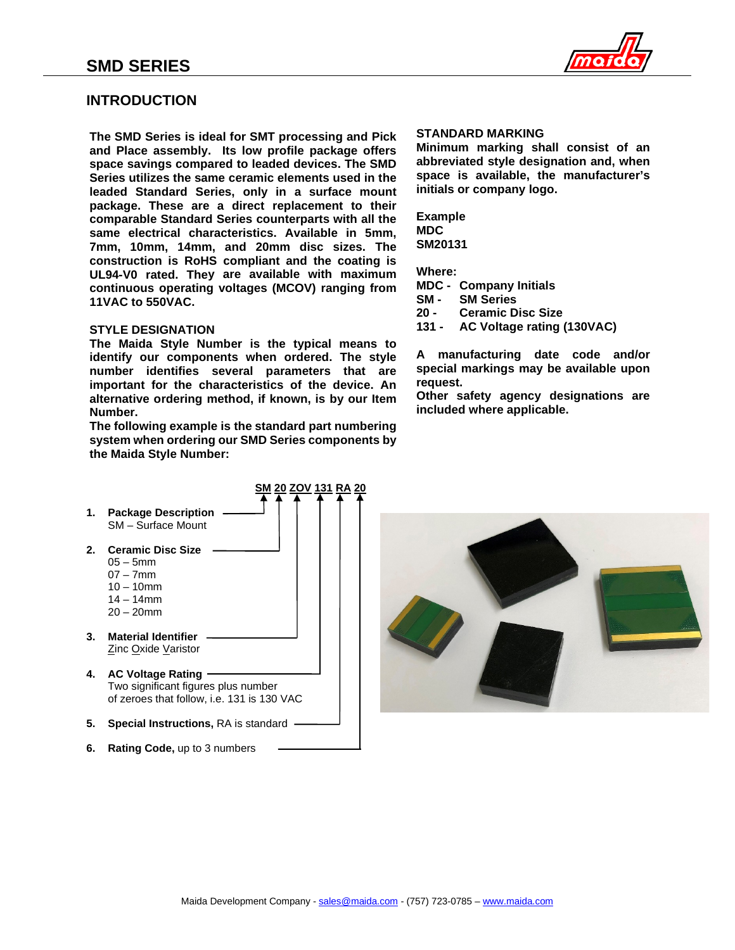

## **INTRODUCTION**

**The SMD Series is ideal for SMT processing and Pick and Place assembly. Its low profile package offers space savings compared to leaded devices. The SMD Series utilizes the same ceramic elements used in the leaded Standard Series, only in a surface mount package. These are a direct replacement to their comparable Standard Series counterparts with all the same electrical characteristics. Available in 5mm, 7mm, 10mm, 14mm, and 20mm disc sizes. The construction is RoHS compliant and the coating is UL94-V0 rated. They are available with maximum continuous operating voltages (MCOV) ranging from 11VAC to 550VAC.**

### **STYLE DESIGNATION**

**The Maida Style Number is the typical means to identify our components when ordered. The style number identifies several parameters that are important for the characteristics of the device. An alternative ordering method, if known, is by our Item Number.**

**The following example is the standard part numbering system when ordering our SMD Series components by the Maida Style Number:**

### **STANDARD MARKING**

**Minimum marking shall consist of an abbreviated style designation and, when space is available, the manufacturer's initials or company logo.**

**Example MDC SM20131**

**Where:**

**MDC - Company Initials**

- **SM - SM Series**
- **20 - Ceramic Disc Size**
- **131 - AC Voltage rating (130VAC)**

**A manufacturing date code and/or special markings may be available upon request.**

**Other safety agency designations are included where applicable.**



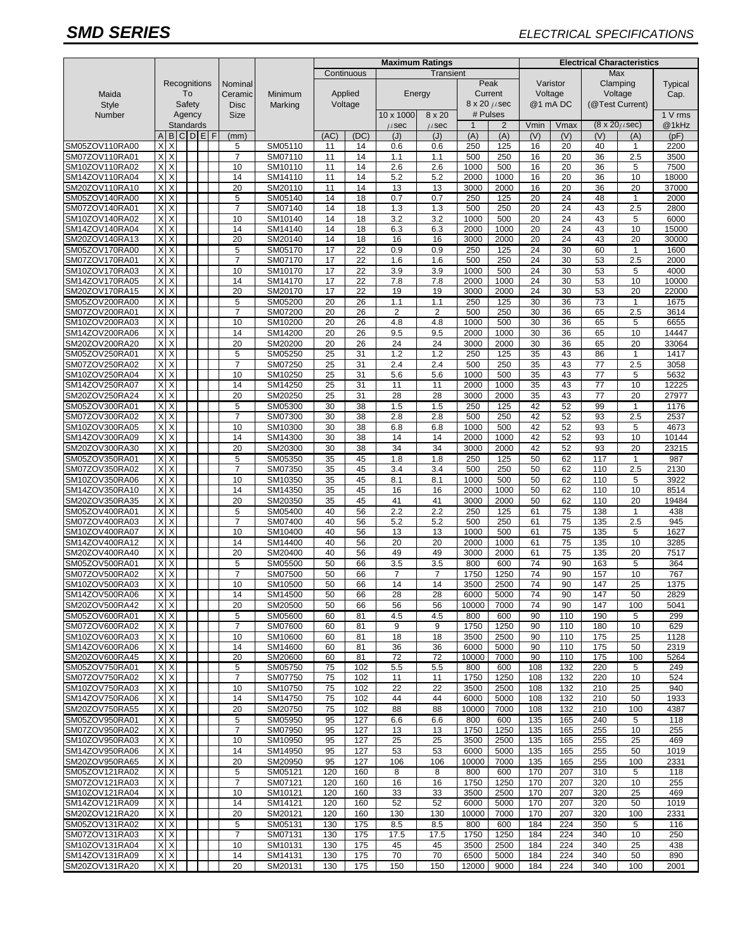## *SMD SERIES ELECTRICAL SPECIFICATIONS*

|                                  |                               |                  |        |  |   |                     |                    | <b>Maximum Ratings</b> |            |                |                |                         |                | <b>Electrical Characteristics</b> |                 |                 |                          |               |  |
|----------------------------------|-------------------------------|------------------|--------|--|---|---------------------|--------------------|------------------------|------------|----------------|----------------|-------------------------|----------------|-----------------------------------|-----------------|-----------------|--------------------------|---------------|--|
|                                  |                               |                  |        |  |   |                     |                    |                        | Continuous | Transient      |                |                         |                |                                   |                 | Max             |                          |               |  |
|                                  |                               | Recognitions     |        |  |   | Nominal             |                    |                        |            |                |                |                         | Peak           |                                   | Varistor        | Clamping        |                          | Typical       |  |
| Maida                            | To<br>Safety                  |                  |        |  |   | Ceramic             | Minimum            |                        | Applied    | Energy         |                |                         | Current        | Voltage                           |                 | Voltage         |                          | Cap.          |  |
| <b>Style</b>                     |                               |                  |        |  |   | <b>Disc</b>         | Marking            | Voltage                |            |                |                | $8 \times 20 \ \mu$ sec |                | @1 mA DC                          |                 | (@Test Current) |                          |               |  |
| Number                           |                               |                  | Agency |  |   | <b>Size</b>         |                    |                        |            | 10 x 1000      | 8 x 20         | # Pulses                |                |                                   |                 |                 |                          | 1 V rms       |  |
|                                  |                               | Standards        |        |  |   |                     |                    |                        |            | $\mu$ sec      | $\mu$ sec      | $\mathbf{1}$            | $\overline{2}$ | Vmin                              | Vmax            |                 | $(8 \times 20 \mu \sec)$ | @1kHz         |  |
|                                  | A                             | B                | CDE    |  | F | (mm)                |                    | (AC)                   | (DC)       | (J)            | (J)            | (A)                     | (A)            | (V)                               | (V)             | (V)             | (A)                      | (pF)          |  |
| SM05ZOV110RA00                   | X                             | X                |        |  |   | 5                   | SM05110            | 11                     | 14         | 0.6            | 0.6            | 250                     | 125            | 16                                | 20              | 40              | $\mathbf{1}$             | 2200          |  |
| SM07ZOV110RA01                   | X                             | X                |        |  |   | $\overline{7}$      | SM07110            | 11                     | 14         | 1.1            | 1.1            | 500                     | 250            | 16                                | 20              | 36              | 2.5                      | 3500          |  |
| SM10ZOV110RA02                   | X                             | X                |        |  |   | 10                  | SM10110            | 11                     | 14         | 2.6            | 2.6            | 1000                    | 500            | 16                                | 20              | 36              | 5                        | 7500          |  |
| SM14ZOV110RA04                   | X                             | X                |        |  |   | 14                  | SM14110            | 11                     | 14         | 5.2            | 5.2            | 2000                    | 1000           | 16                                | 20              | 36              | 10                       | 18000         |  |
| SM20ZOV110RA10<br>SM05ZOV140RA00 | X<br>X                        | X<br>X           |        |  |   | 20<br>5             | SM20110            | 11<br>14               | 14<br>18   | 13<br>0.7      | 13<br>0.7      | 3000<br>250             | 2000<br>125    | 16<br>20                          | 20<br>24        | 36<br>48        | 20<br>$\mathbf{1}$       | 37000<br>2000 |  |
| SM07ZOV140RA01                   | X                             | X                |        |  |   | $\overline{7}$      | SM05140<br>SM07140 | 14                     | 18         | 1.3            | 1.3            | 500                     | 250            | 20                                | 24              | 43              | 2.5                      | 2800          |  |
| SM10ZOV140RA02                   | X                             | X                |        |  |   | 10                  | SM10140            | 14                     | 18         | 3.2            | 3.2            | 1000                    | 500            | 20                                | 24              | 43              | 5                        | 6000          |  |
| SM14ZOV140RA04                   | X                             | X                |        |  |   | 14                  | SM14140            | 14                     | 18         | 6.3            | 6.3            | 2000                    | 1000           | 20                                | 24              | 43              | 10                       | 15000         |  |
| SM20ZOV140RA13                   | X                             | X                |        |  |   | 20                  | SM20140            | 14                     | 18         | 16             | 16             | 3000                    | 2000           | 20                                | 24              | 43              | 20                       | 30000         |  |
| SM05ZOV170RA00                   | X                             | X                |        |  |   | 5                   | SM05170            | 17                     | 22         | 0.9            | 0.9            | 250                     | 125            | 24                                | 30              | 60              | 1                        | 1600          |  |
| SM07ZOV170RA01                   | X                             | X                |        |  |   | $\overline{7}$      | SM07170            | 17                     | 22         | 1.6            | 1.6            | 500                     | 250            | 24                                | 30              | 53              | 2.5                      | 2000          |  |
| SM10ZOV170RA03                   | Χ                             |                  |        |  |   | 10                  | SM10170            | 17                     | 22         | 3.9            | 3.9            | 1000                    | 500            | 24                                | 30              | 53              | 5                        | 4000          |  |
| SM14ZOV170RA05                   | X                             | X                |        |  |   | 14                  | SM14170            | 17                     | 22         | 7.8            | 7.8            | 2000                    | 1000           | 24                                | 30              | 53              | 10                       | 10000         |  |
| SM20ZOV170RA15                   | X                             | X                |        |  |   | 20                  | SM20170            | 17                     | 22         | 19             | 19             | 3000                    | 2000           | 24                                | 30              | 53              | 20                       | 22000         |  |
| SM05ZOV200RA00                   | X                             | X                |        |  |   | 5                   | SM05200            | 20                     | 26         | 1.1            | 1.1            | 250                     | 125            | 30                                | 36              | 73              | $\mathbf{1}$             | 1675          |  |
| SM07ZOV200RA01                   | $\overline{\mathsf{x}}$       | X                |        |  |   | $\overline{7}$      | SM07200            | 20                     | 26         | $\overline{2}$ | $\overline{2}$ | 500                     | 250            | 30                                | 36              | 65              | 2.5                      | 3614          |  |
| SM10ZOV200RA03                   | X                             | X                |        |  |   | 10                  | SM10200            | 20                     | 26         | 4.8            | 4.8            | 1000                    | 500            | 30                                | 36              | 65              | 5                        | 6655          |  |
| SM14ZOV200RA06                   | X                             | X                |        |  |   | 14                  | SM14200            | 20                     | 26         | 9.5            | 9.5            | 2000                    | 1000           | 30                                | 36              | 65              | 10                       | 14447         |  |
| SM20ZOV200RA20                   | X                             | X                |        |  |   | 20                  | SM20200            | 20                     | 26         | 24             | 24             | 3000                    | 2000           | 30                                | 36              | 65              | 20                       | 33064         |  |
| SM05ZOV250RA01                   | X                             | X                |        |  |   | 5                   | SM05250            | 25                     | 31         | 1.2            | 1.2            | 250                     | 125            | 35                                | 43              | 86              | $\mathbf{1}$             | 1417          |  |
| SM07ZOV250RA02                   | X                             | X                |        |  |   | $\overline{7}$      | SM07250            | 25                     | 31         | 2.4            | 2.4            | 500                     | 250            | 35                                | 43              | 77              | 2.5                      | 3058          |  |
| SM10ZOV250RA04<br>SM14ZOV250RA07 | Χ<br>X                        | X<br>X           |        |  |   | 10<br>14            | SM10250            | 25<br>25               | 31<br>31   | 5.6<br>11      | 5.6<br>11      | 1000<br>2000            | 500<br>1000    | 35<br>35                          | 43<br>43        | 77<br>77        | 5<br>10                  | 5632<br>12225 |  |
| SM20ZOV250RA24                   | X                             | X                |        |  |   | 20                  | SM14250            |                        | 31         | 28             | 28             | 3000                    |                |                                   | 43              | 77              | 20                       | 27977         |  |
| SM05ZOV300RA01                   | X                             | X                |        |  |   | 5                   | SM20250<br>SM05300 | 25<br>30               | 38         | 1.5            | 1.5            | 250                     | 2000<br>125    | 35<br>42                          | 52              | 99              | $\mathbf{1}$             | 1176          |  |
| SM07ZOV300RA02                   | X                             | X                |        |  |   | $\overline{7}$      | SM07300            | 30                     | 38         | 2.8            | 2.8            | 500                     | 250            | 42                                | 52              | 93              | 2.5                      | 2537          |  |
| SM10ZOV300RA05                   | X                             | X                |        |  |   | 10                  | SM10300            | 30                     | 38         | 6.8            | 6.8            | 1000                    | 500            | 42                                | 52              | 93              | 5                        | 4673          |  |
| SM14ZOV300RA09                   | X                             | X                |        |  |   | 14                  | SM14300            | 30                     | 38         | 14             | 14             | 2000                    | 1000           | 42                                | 52              | 93              | 10                       | 10144         |  |
| SM20ZOV300RA30                   | X                             | X                |        |  |   | 20                  | SM20300            | 30                     | 38         | 34             | 34             | 3000                    | 2000           | 42                                | 52              | 93              | 20                       | 23215         |  |
| SM05ZOV350RA01                   | X                             | X                |        |  |   | 5                   | SM05350            | 35                     | 45         | 1.8            | 1.8            | 250                     | 125            | 50                                | 62              | 117             | 1                        | 987           |  |
| SM07ZOV350RA02                   | X                             | X                |        |  |   | $\overline{7}$      | SM07350            | 35                     | 45         | 3.4            | 3.4            | 500                     | 250            | 50                                | 62              | 110             | 2.5                      | 2130          |  |
| SM10ZOV350RA06                   | X                             | X                |        |  |   | 10                  | SM10350            | 35                     | 45         | 8.1            | 8.1            | 1000                    | 500            | 50                                | 62              | 110             | 5                        | 3922          |  |
| SM14ZOV350RA10                   | X                             | X                |        |  |   | 14                  | SM14350            | 35                     | 45         | 16             | 16             | 2000                    | 1000           | 50                                | 62              | 110             | 10                       | 8514          |  |
| SM20ZOV350RA35                   | Χ                             | X                |        |  |   | 20                  | SM20350            | 35                     | 45         | 41             | 41             | 3000                    | 2000           | 50                                | 62              | 110             | 20                       | 19484         |  |
| SM05ZOV400RA01                   | X                             | X                |        |  |   | 5                   | SM05400            | 40                     | 56         | 2.2            | 2.2            | 250                     | 125            | 61                                | $\overline{75}$ | 138             | $\mathbf{1}$             | 438           |  |
| SM07ZOV400RA03                   | X                             | X                |        |  |   | $\overline{7}$      | SM07400            | 40                     | 56         | 5.2            | 5.2            | 500                     | 250            | 61                                | 75              | 135             | 2.5                      | 945           |  |
| SM10ZOV400RA07                   | X                             | X                |        |  |   | 10                  | SM10400            | 40                     | 56         | 13             | 13             | 1000                    | 500            | 61                                | 75              | 135             | 5                        | 1627          |  |
| SM14ZOV400RA12                   | X                             | X                |        |  |   | 14                  | SM14400            | 40                     | 56         | 20             | 20             | 2000                    | 1000           | 61                                | 75              | 135             | 10                       | 3285          |  |
| SM20ZOV400RA40                   | X                             | X                |        |  |   | 20                  | SM20400            | 40                     | 56         | 49             | 49             | 3000                    | 2000           | 61                                | 75              | 135             | 20                       | 7517          |  |
| SM05ZOV500RA01                   | X                             | X                |        |  |   | 5                   | SM05500            | 50                     | 66         | 3.5            | 3.5            | 800                     | 600            | 74                                | 90              | 163             | 5                        | 364           |  |
| SM07ZOV500RA02                   | X                             | ᠈                |        |  |   | $\overline{7}$      | SM07500            | 50                     | 66         | 7              | 7              | 1750                    | 1250           | 74                                | 90              | 157             | 10                       | 767           |  |
| SM10ZOV500RA03                   | X                             | X                |        |  |   | 10                  | SM10500            | 50                     | 66         | 14             | 14             | 3500                    | 2500           | 74                                | 90              | 147             | 25                       | 1375          |  |
| SM14ZOV500RA06                   | XI X<br>X                     | $\times$         |        |  |   | 14                  | SM14500            | 50                     | 66         | 28             | 28             | 6000                    | 5000           | 74                                | 90              | 147             | 50                       | 2829          |  |
| SM20ZOV500RA42                   |                               |                  |        |  |   | 20                  | SM20500            | 50                     | 66         | 56             | 56             | 10000                   | 7000           | 74                                | 90              | 147             | 100                      | 5041          |  |
| SM05ZOV600RA01<br>SM07ZOV600RA02 | X<br>X                        | ΙX<br>X          |        |  |   | 5<br>$\overline{7}$ | SM05600<br>SM07600 | 60<br>60               | 81<br>81   | 4.5<br>9       | 4.5<br>9       | 800<br>1750             | 600<br>1250    | 90<br>90                          | 110<br>110      | 190<br>180      | 5<br>10                  | 299<br>629    |  |
| SM10ZOV600RA03                   | X                             | X                |        |  |   | 10                  | SM10600            | 60                     | 81         | 18             | 18             | 3500                    | 2500           | 90                                | 110             | 175             | 25                       | 1128          |  |
| SM14ZOV600RA06                   | X                             | $\times$         |        |  |   | 14                  | SM14600            | 60                     | 81         | 36             | 36             | 6000                    | 5000           | 90                                | 110             | 175             | 50                       | 2319          |  |
| SM20ZOV600RA45                   |                               | X X              |        |  |   | 20                  | SM20600            | 60                     | 81         | 72             | 72             | 10000                   | 7000           | 90                                | 110             | 175             | 100                      | 5264          |  |
| SM05ZOV750RA01                   | X                             | ΙX.              |        |  |   | 5                   | SM05750            | 75                     | 102        | 5.5            | 5.5            | 800                     | 600            | 108                               | 132             | 220             | 5                        | 249           |  |
| SM07ZOV750RA02                   | $\overline{X}$ $\overline{X}$ |                  |        |  |   | $\overline{7}$      | SM07750            | 75                     | 102        | 11             | 11             | 1750                    | 1250           | 108                               | 132             | 220             | 10                       | 524           |  |
| SM10ZOV750RA03                   | X                             | Χ                |        |  |   | 10                  | SM10750            | 75                     | 102        | 22             | 22             | 3500                    | 2500           | 108                               | 132             | 210             | 25                       | 940           |  |
| SM14ZOV750RA06                   | X                             | X                |        |  |   | 14                  | SM14750            | 75                     | 102        | 44             | 44             | 6000                    | 5000           | 108                               | 132             | 210             | 50                       | 1933          |  |
| SM20ZOV750RA55                   | X                             | X                |        |  |   | 20                  | SM20750            | 75                     | 102        | 88             | 88             | 10000                   | 7000           | 108                               | 132             | 210             | 100                      | 4387          |  |
| SM05ZOV950RA01                   |                               | XX               |        |  |   | 5                   | SM05950            | 95                     | 127        | 6.6            | 6.6            | 800                     | 600            | 135                               | 165             | 240             | 5                        | 118           |  |
| SM07ZOV950RA02                   |                               | X X              |        |  |   | $\overline{7}$      | SM07950            | 95                     | 127        | 13             | 13             | 1750                    | 1250           | 135                               | 165             | 255             | 10                       | 255           |  |
| SM10ZOV950RA03                   | X                             | $\times$         |        |  |   | 10                  | SM10950            | 95                     | 127        | 25             | 25             | 3500                    | 2500           | 135                               | 165             | 255             | 25                       | 469           |  |
| SM14ZOV950RA06                   |                               | $X$ $X$          |        |  |   | 14                  | SM14950            | 95                     | 127        | 53             | 53             | 6000                    | 5000           | 135                               | 165             | 255             | 50                       | 1019          |  |
| SM20ZOV950RA65                   | X                             | $\boldsymbol{X}$ |        |  |   | 20                  | SM20950            | 95                     | 127        | 106            | 106            | 10000                   | 7000           | 135                               | 165             | 255             | 100                      | 2331          |  |
| SM05ZOV121RA02                   | $\times$                      | X                |        |  |   | $\sqrt{5}$          | SM05121            | 120                    | 160        | 8              | 8              | 800                     | 600            | 170                               | 207             | 310             | 5                        | 118           |  |
| SM07ZOV121RA03<br>SM10ZOV121RA04 | X                             | Χ<br>XX          |        |  |   | 7<br>10             | SM07121            | 120<br>120             | 160<br>160 | 16<br>33       | 16<br>33       | 1750<br>3500            | 1250<br>2500   | 170<br>170                        | 207<br>207      | 320<br>320      | 10<br>25                 | 255<br>469    |  |
| SM14ZOV121RA09                   | X                             | Χ                |        |  |   | 14                  | SM10121<br>SM14121 | 120                    | 160        | 52             | 52             | 6000                    | 5000           | 170                               | 207             | 320             | 50                       | 1019          |  |
| SM20ZOV121RA20                   | X                             | X                |        |  |   | 20                  | SM20121            | 120                    | 160        | 130            | 130            | 10000                   | 7000           | 170                               | 207             | 320             | 100                      | 2331          |  |
| SM05ZOV131RA02                   | X                             | $\times$         |        |  |   | 5                   | SM05131            | 130                    | 175        | 8.5            | 8.5            | 800                     | 600            | 184                               | 224             | 350             | 5                        | 116           |  |
| SM07ZOV131RA03                   | X                             | $\times$         |        |  |   | $\overline{7}$      | SM07131            | 130                    | 175        | 17.5           | 17.5           | 1750                    | 1250           | 184                               | 224             | 340             | 10                       | 250           |  |
| SM10ZOV131RA04                   |                               | X X              |        |  |   | 10                  | SM10131            | 130                    | 175        | 45             | 45             | 3500                    | 2500           | 184                               | 224             | 340             | 25                       | 438           |  |
| SM14ZOV131RA09                   |                               | X X              |        |  |   | 14                  | SM14131            | 130                    | 175        | 70             | 70             | 6500                    | 5000           | 184                               | 224             | 340             | 50                       | 890           |  |
| SM20ZOV131RA20                   |                               | $\times x$       |        |  |   | 20                  | SM20131            | 130                    | 175        | 150            | 150            | 12000                   | 9000           | 184                               | 224             | 340             | 100                      | 2001          |  |
|                                  |                               |                  |        |  |   |                     |                    |                        |            |                |                |                         |                |                                   |                 |                 |                          |               |  |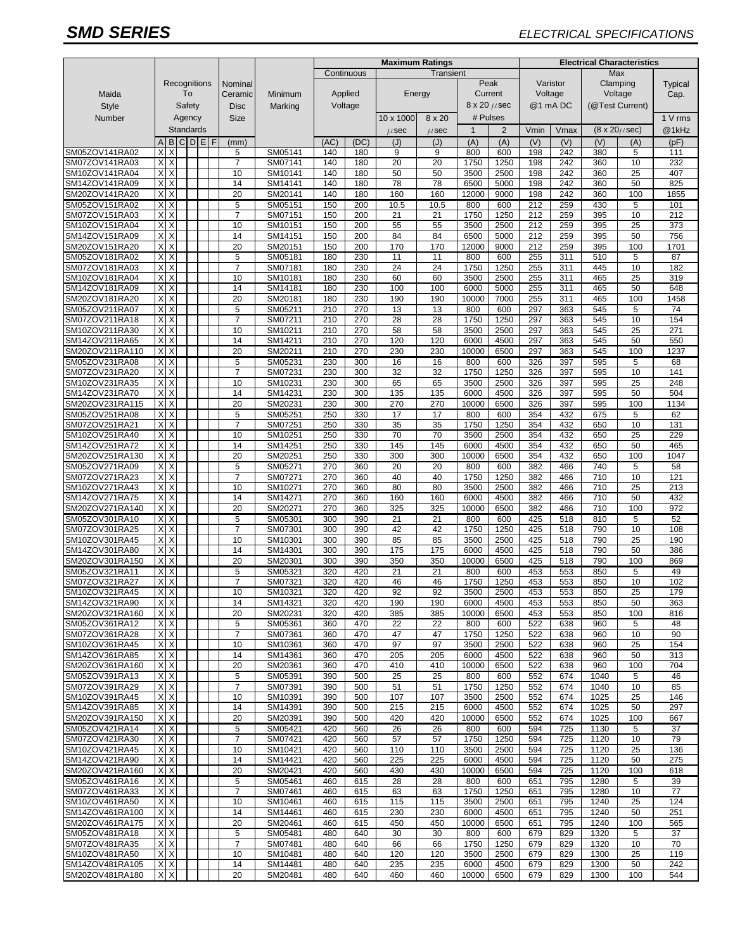# *SMD SERIES ELECTRICAL SPECIFICATIONS*

|                                   |                         |                           |  |             |             |                         | <b>Maximum Ratings</b> |                    |                    |             |            |                         | <b>Electrical Characteristics</b> |                     |                 |                 |              |                          |             |
|-----------------------------------|-------------------------|---------------------------|--|-------------|-------------|-------------------------|------------------------|--------------------|--------------------|-------------|------------|-------------------------|-----------------------------------|---------------------|-----------------|-----------------|--------------|--------------------------|-------------|
|                                   |                         |                           |  |             |             | Continuous<br>Transient |                        |                    |                    |             |            |                         |                                   |                     | <b>Max</b>      |                 |              |                          |             |
|                                   | Recognitions<br>To      |                           |  | Nominal     |             |                         |                        |                    |                    |             | Peak       |                         | Varistor                          | Clamping<br>Voltage |                 | Typical<br>Cap. |              |                          |             |
| Maida                             |                         |                           |  |             |             |                         | Ceramic                | Minimum            | Applied<br>Voltage |             |            | Energy                  |                                   |                     |                 |                 | Current      | Voltage<br>@1 mA DC      |             |
| <b>Style</b>                      |                         | Safety                    |  |             | <b>Disc</b> | Marking                 |                        |                    |                    |             |            | $8 \times 20 \ \mu$ sec |                                   |                     | (@Test Current) |                 |              |                          |             |
| Number                            | Agency<br>Standards     |                           |  | <b>Size</b> |             |                         |                        | 10 x 1000          | 8 x 20             |             | # Pulses   |                         |                                   |                     |                 | 1 V rms         |              |                          |             |
|                                   |                         |                           |  |             |             |                         |                        |                    |                    |             | $\mu$ sec  | $\mu$ sec               | $\mathbf{1}$                      | $\overline{2}$      | Vmin            | Vmax            |              | $(8 \times 20 \mu \sec)$ | @1kHz       |
| SM05ZOV141RA02                    | $\overline{A}$<br>X     | B<br>X                    |  |             | CDEF        |                         | (mm)<br>5              | SM05141            | (AC)<br>140        | (DC)<br>180 | (J)<br>9   | (J)<br>9                | (A)<br>800                        | (A)<br>600          | (V)<br>198      | (V)<br>242      | (V)<br>380   | (A)<br>5                 | (pF)<br>111 |
| SM07ZOV141RA03                    | Χ                       | X                         |  |             |             |                         | $\overline{7}$         | SM07141            | 140                | 180         | 20         | 20                      | 1750                              | 1250                | 198             | 242             | 360          | 10                       | 232         |
| SM10ZOV141RA04                    | X                       | $\times$                  |  |             |             |                         | 10                     | SM10141            | 140                | 180         | 50         | 50                      | 3500                              | 2500                | 198             | 242             | 360          | 25                       | 407         |
| SM14ZOV141RA09                    | Χ                       | X                         |  |             |             |                         | 14                     | SM14141            | 140                | 180         | 78         | 78                      | 6500                              | 5000                | 198             | 242             | 360          | 50                       | 825         |
| SM20ZOV141RA20                    | X                       | X                         |  |             |             |                         | 20                     | SM20141            | 140                | 180         | 160        | 160                     | 12000                             | 9000                | 198             | 242             | 360          | 100                      | 1855        |
| SM05ZOV151RA02                    | X                       | Х                         |  |             |             |                         | 5                      | SM05151            | 150                | 200         | 10.5       | 10.5                    | 800                               | 600                 | 212             | 259             | 430          | 5                        | 101         |
| SM07ZOV151RA03<br>SM10ZOV151RA04  | X<br>Χ                  | X<br>X                    |  |             |             |                         | 7<br>10                | SM07151<br>SM10151 | 150<br>150         | 200<br>200  | 21<br>55   | 21<br>55                | 1750<br>3500                      | 1250<br>2500        | 212<br>212      | 259<br>259      | 395<br>395   | 10<br>25                 | 212<br>373  |
| SM14ZOV151RA09                    | X                       | X                         |  |             |             |                         | 14                     | SM14151            | 150                | 200         | 84         | 84                      | 6500                              | 5000                | 212             | 259             | 395          | 50                       | 756         |
| SM20ZOV151RA20                    | X                       | X                         |  |             |             |                         | 20                     | SM20151            | 150                | 200         | 170        | 170                     | 12000                             | 9000                | 212             | 259             | 395          | 100                      | 1701        |
| SM05ZOV181RA02                    | $\overline{\mathsf{x}}$ | X                         |  |             |             |                         | 5                      | SM05181            | 180                | 230         | 11         | 11                      | 800                               | 600                 | 255             | 311             | 510          | 5                        | 87          |
| SM07ZOV181RA03                    | X                       | X                         |  |             |             |                         | $\overline{7}$         | SM07181            | 180                | 230         | 24         | 24                      | 1750                              | 1250                | 255             | 311             | 445          | 10                       | 182         |
| SM10ZOV181RA04                    | X                       | X                         |  |             |             |                         | 10                     | SM10181            | 180                | 230         | 60         | 60                      | 3500                              | 2500                | 255             | 311             | 465          | 25                       | 319         |
| SM14ZOV181RA09                    | X<br>X                  | X<br>X                    |  |             |             |                         | 14                     | SM14181            | 180                | 230         | 100        | 100                     | 6000                              | 5000                | 255             | 311             | 465          | 50                       | 648         |
| SM20ZOV181RA20<br>SM05ZOV211RA07  | X                       | X                         |  |             |             |                         | 20<br>5                | SM20181<br>SM05211 | 180<br>210         | 230<br>270  | 190<br>13  | 190<br>13               | 10000<br>800                      | 7000<br>600         | 255<br>297      | 311<br>363      | 465<br>545   | 100<br>5                 | 1458<br>74  |
| SM07ZOV211RA18                    | Χ                       | X                         |  |             |             |                         | 7                      | SM07211            | 210                | 270         | 28         | 28                      | 1750                              | 1250                | 297             | 363             | 545          | 10                       | 154         |
| SM10ZOV211RA30                    | X                       | X                         |  |             |             |                         | 10                     | SM10211            | 210                | 270         | 58         | 58                      | 3500                              | 2500                | 297             | 363             | 545          | 25                       | 271         |
| SM14ZOV211RA65                    | Χ                       | X                         |  |             |             |                         | 14                     | SM14211            | 210                | 270         | 120        | 120                     | 6000                              | 4500                | 297             | 363             | 545          | 50                       | 550         |
| SM20ZOV211RA110                   | X                       | X                         |  |             |             |                         | 20                     | SM20211            | 210                | 270         | 230        | 230                     | 10000                             | 6500                | 297             | 363             | 545          | 100                      | 1237        |
| SM05ZOV231RA08                    | X                       | X                         |  |             |             |                         | 5<br>$\overline{7}$    | SM05231            | 230                | 300         | 16         | 16                      | 800                               | 600                 | 326             | 397             | 595          | 5<br>10                  | 68          |
| SM07ZOV231RA20<br>SM10ZOV231RA35  | X<br>Χ                  | X<br>X                    |  |             |             |                         | 10                     | SM07231<br>SM10231 | 230<br>230         | 300<br>300  | 32<br>65   | $\overline{32}$<br>65   | 1750<br>3500                      | 1250<br>2500        | 326<br>326      | 397<br>397      | 595<br>595   | 25                       | 141<br>248  |
| SM14ZOV231RA70                    | Χ                       | X                         |  |             |             |                         | 14                     | SM14231            | 230                | 300         | 135        | 135                     | 6000                              | 4500                | 326             | 397             | 595          | 50                       | 504         |
| SM20ZOV231RA115                   | X                       | X                         |  |             |             |                         | 20                     | SM20231            | 230                | 300         | 270        | 270                     | 10000                             | 6500                | 326             | 397             | 595          | 100                      | 1134        |
| SM05ZOV251RA08                    | X                       | Χ                         |  |             |             |                         | 5                      | SM05251            | 250                | 330         | 17         | 17                      | 800                               | 600                 | 354             | 432             | 675          | 5                        | 62          |
| SM07ZOV251RA21                    | X                       | X                         |  |             |             |                         | 7                      | SM07251            | 250                | 330         | 35         | 35                      | 1750                              | 1250                | 354             | 432             | 650          | 10                       | 131         |
| SM10ZOV251RA40                    | Χ                       | X                         |  |             |             |                         | 10                     | SM10251            | 250                | 330         | 70         | 70                      | 3500                              | 2500                | 354             | 432             | 650          | 25                       | 229         |
| SM14ZOV251RA72<br>SM20ZOV251RA130 | X<br>X                  | X<br>X                    |  |             |             |                         | 14<br>20               | SM14251<br>SM20251 | 250<br>250         | 330<br>330  | 145<br>300 | 145<br>300              | 6000<br>10000                     | 4500<br>6500        | 354<br>354      | 432<br>432      | 650<br>650   | 50<br>100                | 465<br>1047 |
| SM05ZOV271RA09                    | X                       | X                         |  |             |             |                         | 5                      | SM05271            | 270                | 360         | 20         | 20                      | 800                               | 600                 | 382             | 466             | 740          | 5                        | 58          |
| SM07ZOV271RA23                    | Χ                       | X                         |  |             |             |                         | 7                      | SM07271            | 270                | 360         | 40         | 40                      | 1750                              | 1250                | 382             | 466             | 710          | 10                       | 121         |
| SM10ZOV271RA43                    | X                       | X                         |  |             |             |                         | 10                     | SM10271            | 270                | 360         | 80         | 80                      | 3500                              | 2500                | 382             | 466             | 710          | 25                       | 213         |
| SM14ZOV271RA75                    | Χ                       | X                         |  |             |             |                         | 14                     | SM14271            | 270                | 360         | 160        | 160                     | 6000                              | 4500                | 382             | 466             | 710          | 50                       | 432         |
| SM20ZOV271RA140                   | X                       | X                         |  |             |             |                         | 20                     | SM20271            | 270                | 360         | 325        | 325                     | 10000                             | 6500                | 382             | 466             | 710          | 100                      | 972         |
| SM05ZOV301RA10                    | X<br>X                  | X<br>X                    |  |             |             |                         | 5<br>$\overline{7}$    | SM05301            | 300                | 390         | 21         | 21                      | 800                               | 600                 | 425             | 518             | 810          | 5                        | 52          |
| SM07ZOV301RA25<br>SM10ZOV301RA45  | X                       | X                         |  |             |             |                         | 10                     | SM07301<br>SM10301 | 300<br>300         | 390<br>390  | 42<br>85   | 42<br>85                | 1750<br>3500                      | 1250<br>2500        | 425<br>425      | 518<br>518      | 790<br>790   | 10<br>25                 | 108<br>190  |
| SM14ZOV301RA80                    | Χ                       | X                         |  |             |             |                         | 14                     | SM14301            | 300                | 390         | 175        | 175                     | 6000                              | 4500                | 425             | 518             | 790          | 50                       | 386         |
| SM20ZOV301RA150                   | X                       | X                         |  |             |             |                         | 20                     | SM20301            | 300                | 390         | 350        | 350                     | 10000                             | 6500                | 425             | 518             | 790          | 100                      | 869         |
| SM05ZOV321RA11                    | Х                       | X                         |  |             |             |                         | 5                      | SM05321            | 320                | 420         | 21         | 21                      | 800                               | 600                 | 453             | 553             | 850          | 5                        | 49          |
| SM07ZOV321RA27                    | Χ                       | X                         |  |             |             |                         | 7                      | SM07321            | 320                | 420         | 46         | 46                      | 1750                              | 1250                | 453             | 553             | 850          | 10                       | 102         |
| SM10ZOV321RA45                    |                         | $X$ $X$<br>$X$ $X$        |  |             |             |                         | 10                     | SM10321            | 320                | 420         | 92         | 92                      | 3500                              | 2500                | 453             | 553             | 850          | 25                       | 179         |
| SM14ZOV321RA90<br>SM20ZOV321RA160 |                         | X X                       |  |             |             |                         | 14<br>20               | SM14321<br>SM20231 | 320<br>320         | 420<br>420  | 190<br>385 | 190<br>385              | 6000<br>10000                     | 4500<br>6500        | 453<br>453      | 553<br>553      | 850<br>850   | 50<br>100                | 363<br>816  |
| SM05ZOV361RA12                    |                         | X X                       |  |             |             |                         | 5                      | SM05361            | 360                | 470         | 22         | 22                      | 800                               | 600                 | 522             | 638             | 960          | 5                        | 48          |
| SM07ZOV361RA28                    |                         | X X                       |  |             |             |                         | $\overline{7}$         | SM07361            | 360                | 470         | 47         | 47                      | 1750                              | 1250                | 522             | 638             | 960          | 10                       | 90          |
| SM10ZOV361RA45                    |                         | X X                       |  |             |             |                         | 10                     | SM10361            | 360                | 470         | 97         | 97                      | 3500                              | 2500                | 522             | 638             | 960          | 25                       | 154         |
| SM14ZOV361RA85                    |                         | X X                       |  |             |             |                         | 14                     | SM14361            | 360                | 470         | 205        | 205                     | 6000                              | 4500                | 522             | 638             | 960          | 50                       | 313         |
| SM20ZOV361RA160                   |                         | X X                       |  |             |             |                         | 20                     | SM20361            | 360                | 470         | 410        | 410                     | 10000                             | 6500                | 522             | 638             | 960          | 100                      | 704         |
| SM05ZOV391RA13<br>SM07ZOV391RA29  | X                       | XX<br>$\times$            |  |             |             |                         | 5<br>$\overline{7}$    | SM05391<br>SM07391 | 390<br>390         | 500<br>500  | 25<br>51   | 25<br>51                | 800<br>1750                       | 600<br>1250         | 552<br>552      | 674<br>674      | 1040<br>1040 | 5<br>10                  | 46<br>85    |
| SM10ZOV391RA45                    |                         | XX                        |  |             |             |                         | 10                     | SM10391            | 390                | 500         | 107        | 107                     | 3500                              | 2500                | 552             | 674             | 1025         | 25                       | 146         |
| SM14ZOV391RA85                    | Х                       | $\times$                  |  |             |             |                         | 14                     | SM14391            | 390                | 500         | 215        | 215                     | 6000                              | 4500                | 552             | 674             | 1025         | 50                       | 297         |
| SM20ZOV391RA150                   |                         | $X$ $X$                   |  |             |             |                         | 20                     | SM20391            | 390                | 500         | 420        | 420                     | 10000                             | 6500                | 552             | 674             | 1025         | 100                      | 667         |
| SM05ZOV421RA14                    |                         | XX                        |  |             |             |                         | 5                      | SM05421            | 420                | 560         | 26         | 26                      | 800                               | 600                 | 594             | 725             | 1130         | 5                        | 37          |
| SM07ZOV421RA30                    |                         | $X$ $X$                   |  |             |             |                         | 7                      | SM07421            | 420                | 560         | 57         | 57                      | 1750                              | 1250                | 594             | 725             | 1120         | 10                       | 79          |
| SM10ZOV421RA45                    |                         | $X$ $X$<br>$\overline{x}$ |  |             |             |                         | 10                     | SM10421            | 420                | 560         | 110        | 110                     | 3500                              | 2500                | 594             | 725             | 1120         | 25                       | 136         |
| SM14ZOV421RA90<br>SM20ZOV421RA160 |                         | X X                       |  |             |             |                         | 14<br>20               | SM14421<br>SM20421 | 420<br>420         | 560<br>560  | 225<br>430 | 225<br>430              | 6000<br>10000                     | 4500<br>6500        | 594<br>594      | 725<br>725      | 1120<br>1120 | 50<br>100                | 275<br>618  |
| SM05ZOV461RA16                    |                         | XX                        |  |             |             |                         | 5                      | SM05461            | 460                | 615         | 28         | 28                      | 800                               | 600                 | 651             | 795             | 1280         | 5                        | 39          |
| SM07ZOV461RA33                    |                         | X X                       |  |             |             |                         | $\overline{7}$         | SM07461            | 460                | 615         | 63         | 63                      | 1750                              | 1250                | 651             | 795             | 1280         | 10                       | 77          |
| SM10ZOV461RA50                    |                         | XX                        |  |             |             |                         | 10                     | SM10461            | 460                | 615         | 115        | 115                     | 3500                              | 2500                | 651             | 795             | 1240         | 25                       | 124         |
| SM14ZOV461RA100                   |                         | XX                        |  |             |             |                         | 14                     | SM14461            | 460                | 615         | 230        | 230                     | 6000                              | 4500                | 651             | 795             | 1240         | 50                       | 251         |
| SM20ZOV461RA175                   |                         | XX                        |  |             |             |                         | 20                     | SM20461            | 460                | 615         | 450        | 450                     | 10000                             | 6500                | 651             | 795             | 1240         | 100                      | 565         |
| SM05ZOV481RA18                    |                         | XX<br>$\times$            |  |             |             |                         | 5                      | SM05481            | 480                | 640         | 30         | 30                      | 800                               | 600                 | 679             | 829             | 1320         | 5                        | 37          |
| SM07ZOV481RA35<br>SM10ZOV481RA50  | X                       | $X$ $X$                   |  |             |             |                         | 7<br>10                | SM07481<br>SM10481 | 480<br>480         | 640<br>640  | 66<br>120  | 66<br>120               | 1750<br>3500                      | 1250<br>2500        | 679<br>679      | 829<br>829      | 1320<br>1300 | 10<br>25                 | 70<br>119   |
| SM14ZOV481RA105                   | X                       | $\times$                  |  |             |             |                         | 14                     | SM14481            | 480                | 640         | 235        | 235                     | 6000                              | 4500                | 679             | 829             | 1300         | 50                       | 242         |
| SM20ZOV481RA180                   |                         | $X$ $X$                   |  |             |             |                         | 20                     | SM20481            | 480                | 640         | 460        | 460                     | 10000                             | 6500                | 679             | 829             | 1300         | 100                      | 544         |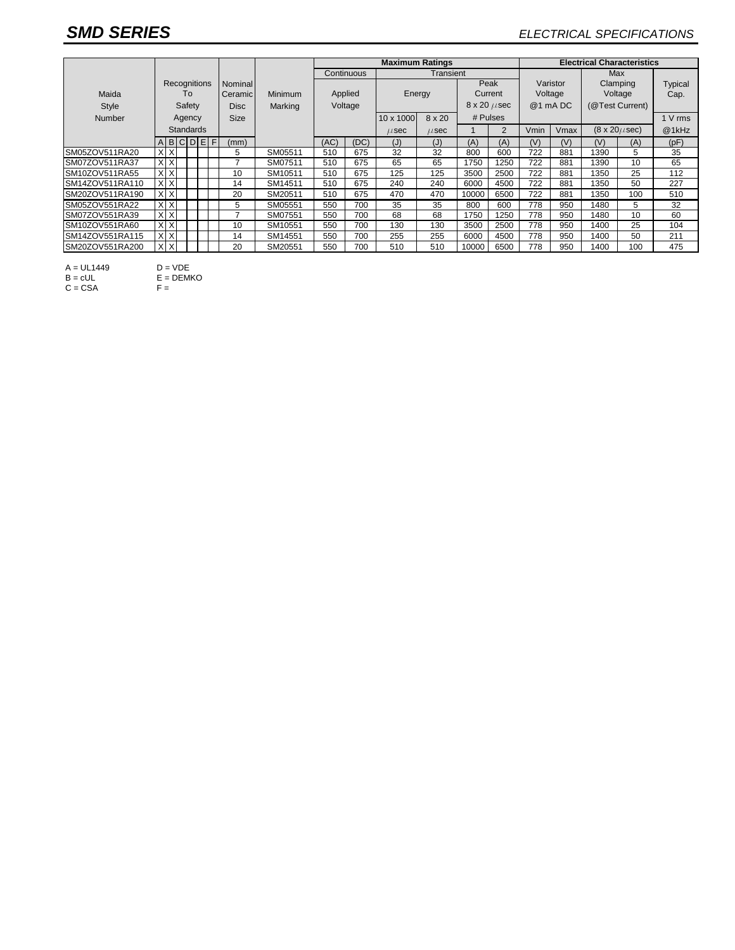## *SMD SERIES ELECTRICAL SPECIFICATIONS*

|                 |                  |              |             |         |             |         |            | <b>Maximum Ratings</b>  |           |               |                           |                 |         | <b>Electrical Characteristics</b> |      |                          |         |         |  |  |  |
|-----------------|------------------|--------------|-------------|---------|-------------|---------|------------|-------------------------|-----------|---------------|---------------------------|-----------------|---------|-----------------------------------|------|--------------------------|---------|---------|--|--|--|
|                 |                  |              |             |         |             |         | Continuous |                         |           |               | Max                       |                 |         |                                   |      |                          |         |         |  |  |  |
|                 |                  | Recognitions |             |         |             | Nominal |            |                         |           |               |                           |                 | Peak    | Varistor                          |      | Clamping                 |         | Typical |  |  |  |
| Maida           | To               |              | Ceramic     | Minimum | Applied     |         | Energy     |                         |           | Current       |                           | Voltage         | Voltage |                                   | Cap. |                          |         |         |  |  |  |
| Style           | Safety           |              | <b>Disc</b> | Marking | Voltage     |         |            | $8 \times 20 \ \mu sec$ |           | @1 mA DC      |                           | (@Test Current) |         |                                   |      |                          |         |         |  |  |  |
| Number          | Agency           |              |             |         | <b>Size</b> |         |            |                         | 10 x 1000 | $8 \times 20$ | # Pulses                  |                 |         |                                   |      |                          | 1 V rms |         |  |  |  |
|                 | <b>Standards</b> |              |             |         |             |         |            |                         | $\mu$ sec | $\mu$ sec     |                           | 2               | Vmin    | Vmax                              |      | $(8 \times 20 \mu \sec)$ | @1kHz   |         |  |  |  |
|                 |                  |              |             |         | ABCDEF      | (mm)    |            | (AC)                    | (DC)      | (J)           | $\mathcal{J}(\mathsf{J})$ | (A)             | (A)     | (V)                               | (V)  | (V)                      | (A)     | (pF)    |  |  |  |
| SM05ZOV511RA20  |                  | X X          |             |         |             | 5       | SM05511    | 510                     | 675       | 32            | 32                        | 800             | 600     | 722                               | 881  | 1390                     | 5       | 35      |  |  |  |
| SM07ZOV511RA37  |                  | XX           |             |         |             | –       | SM07511    | 510                     | 675       | 65            | 65                        | 1750            | 1250    | 722                               | 881  | 1390                     | 10      | 65      |  |  |  |
| SM10ZOV511RA55  |                  | XX           |             |         |             | 10      | SM10511    | 510                     | 675       | 125           | 125                       | 3500            | 2500    | 722                               | 881  | 1350                     | 25      | 112     |  |  |  |
| SM14ZOV511RA110 |                  | $X$ $X$      |             |         |             | 14      | SM14511    | 510                     | 675       | 240           | 240                       | 6000            | 4500    | 722                               | 881  | 1350                     | 50      | 227     |  |  |  |
| SM20ZOV511RA190 | X X              |              |             |         |             | 20      | SM20511    | 510                     | 675       | 470           | 470                       | 10000           | 6500    | 722                               | 881  | 1350                     | 100     | 510     |  |  |  |
| SM05ZOV551RA22  |                  | X X          |             |         |             | 5       | SM05551    | 550                     | 700       | 35            | 35                        | 800             | 600     | 778                               | 950  | 1480                     | 5       | 32      |  |  |  |
| SM07ZOV551RA39  |                  | XX           |             |         |             | -       | SM07551    | 550                     | 700       | 68            | 68                        | 1750            | 1250    | 778                               | 950  | 1480                     | 10      | 60      |  |  |  |
| SM10ZOV551RA60  |                  | X X          |             |         |             | 10      | SM10551    | 550                     | 700       | 130           | 130                       | 3500            | 2500    | 778                               | 950  | 1400                     | 25      | 104     |  |  |  |
| SM14ZOV551RA115 |                  | X X          |             |         |             | 14      | SM14551    | 550                     | 700       | 255           | 255                       | 6000            | 4500    | 778                               | 950  | 1400                     | 50      | 211     |  |  |  |
| SM20ZOV551RA200 |                  | X X          |             |         |             | 20      | SM20551    | 550                     | 700       | 510           | 510                       | 10000           | 6500    | 778                               | 950  | 1400                     | 100     | 475     |  |  |  |

A = UL1449 D = VDE

 $B = cUL$   $E = DEMKO$ 

 $C = CSA$  F =